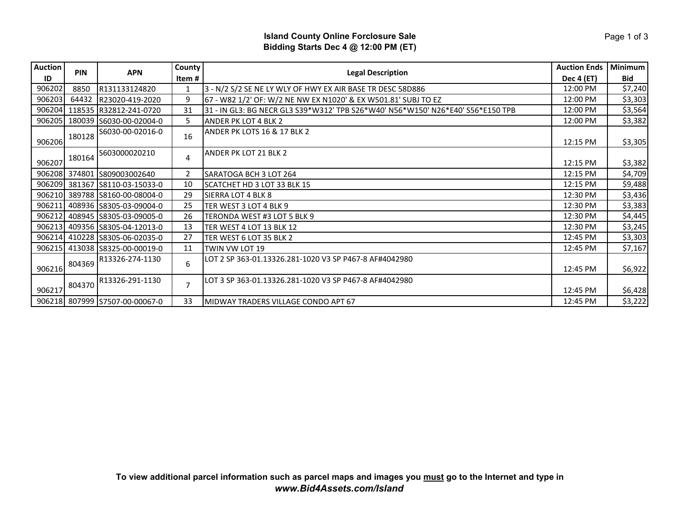## **Island County Online Forclosure Sale Bidding Starts Dec 4 @ 12:00 PM (ET)**

| <b>Auction</b> | <b>PIN</b> | <b>APN</b>                     | County         | <b>Legal Description</b>                                                        | <b>Auction Ends</b> | Minimum    |
|----------------|------------|--------------------------------|----------------|---------------------------------------------------------------------------------|---------------------|------------|
| ID             |            |                                | Item #         |                                                                                 | <b>Dec 4 (ET)</b>   | <b>Bid</b> |
| 906202         | 8850       | R131133124820                  | 1              | 3 - N/2 S/2 SE NE LY WLY OF HWY EX AIR BASE TR DESC 58D886                      |                     | \$7,240    |
| 906203         | 64432      | R23020-419-2020                | 9              | 67 - W82 1/2' OF: W/2 NE NW EX N1020' & EX W501.81' SUBJ TO EZ                  |                     | \$3,303    |
| 906204         |            | 118535 R32812-241-0720         | 31             | 31 - IN GL3: BG NECR GL3 S39*W312' TPB S26*W40' N56*W150' N26*E40' S56*E150 TPB |                     | \$3,564    |
| 906205         |            | 180039 S6030-00-02004-0        | 5              | <b>ANDER PK LOT 4 BLK 2</b>                                                     | 12:00 PM            | \$3,382    |
| 906206         | 180128     | S6030-00-02016-0               | 16             | ANDER PK LOTS 16 & 17 BLK 2                                                     | 12:15 PM            | \$3,305    |
| 906207         | 180164     | S603000020210                  | 4              | <b>ANDER PK LOT 21 BLK 2</b>                                                    | 12:15 PM            | \$3,382    |
| 906208         |            | 374801 S809003002640           | 2              | SARATOGA BCH 3 LOT 264                                                          | 12:15 PM            | \$4,709    |
| 906209         |            | 381367 S8110-03-15033-0        | 10             | SCATCHET HD 3 LOT 33 BLK 15                                                     | 12:15 PM            | \$9,488    |
| 906210         |            | 389788 S8160-00-08004-0        | 29             | SIERRA LOT 4 BLK 8                                                              |                     | \$3,436    |
| 906211         |            | 408936 S8305-03-09004-0        | 25             | TER WEST 3 LOT 4 BLK 9                                                          |                     | \$3,383    |
| 906212         |            | 408945 S8305-03-09005-0        | 26             | TERONDA WEST #3 LOT 5 BLK 9                                                     |                     | \$4,445    |
| 906213         |            | 409356 S8305-04-12013-0        | 13             | TER WEST 4 LOT 13 BLK 12                                                        | 12:30 PM            | \$3,245    |
| 906214         |            | 410228 S8305-06-02035-0        | 27             | TER WEST 6 LOT 35 BLK 2                                                         | 12:45 PM            | \$3,303    |
| 906215         |            | 413038 S8325-00-00019-0        | 11             | TWIN VW LOT 19                                                                  | 12:45 PM            | \$7,167    |
| 906216         | 804369     | R13326-274-1130                | 6              | LOT 2 SP 363-01.13326.281-1020 V3 SP P467-8 AF#4042980                          | 12:45 PM            | \$6,922    |
| 906217         | 804370     | R13326-291-1130                | $\overline{7}$ | LOT 3 SP 363-01.13326.281-1020 V3 SP P467-8 AF#4042980                          | 12:45 PM            | \$6,428    |
|                |            | 906218 807999 S7507-00-00067-0 | 33             | <b>MIDWAY TRADERS VILLAGE CONDO APT 67</b>                                      | 12:45 PM            | \$3,222    |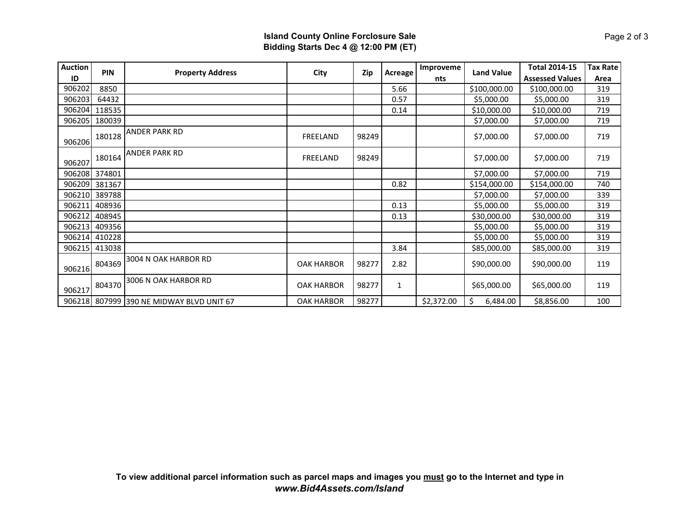## **Island County Online Forclosure Sale Bidding Starts Dec 4 @ 12:00 PM (ET)**

| <b>Auction</b> | <b>PIN</b> | <b>Property Address</b>           | City              | <b>Zip</b> | Acreage | Improveme  | <b>Land Value</b> | <b>Total 2014-15</b>   | <b>Tax Rate</b> |
|----------------|------------|-----------------------------------|-------------------|------------|---------|------------|-------------------|------------------------|-----------------|
| ID             |            |                                   |                   |            |         | nts        |                   | <b>Assessed Values</b> | Area            |
| 906202         | 8850       |                                   |                   |            | 5.66    |            | \$100,000.00      | \$100,000.00           | 319             |
| 906203         | 64432      |                                   |                   |            | 0.57    |            | \$5,000.00        | \$5,000.00             | 319             |
| 906204         | 118535     |                                   |                   |            | 0.14    |            | \$10,000.00       | \$10,000.00            | 719             |
| 906205         | 180039     |                                   |                   |            |         |            | \$7,000.00        | \$7,000.00             | 719             |
| 906206         | 180128     | <b>ANDER PARK RD</b>              | FREELAND          | 98249      |         |            | \$7,000.00        | \$7,000.00             | 719             |
| 906207         | 180164     | <b>ANDER PARK RD</b>              | FREELAND          | 98249      |         |            | \$7,000.00        | \$7,000.00             | 719             |
| 906208         | 374801     |                                   |                   |            |         |            | \$7,000.00        | \$7,000.00             | 719             |
| 906209         | 381367     |                                   |                   |            | 0.82    |            | \$154,000.00      | \$154,000.00           | 740             |
| 906210         | 389788     |                                   |                   |            |         |            | \$7,000.00        | \$7,000.00             | 339             |
| 906211         | 408936     |                                   |                   |            | 0.13    |            | \$5,000.00        | \$5,000.00             | 319             |
| 906212         | 408945     |                                   |                   |            | 0.13    |            | \$30,000.00       | \$30,000.00            | 319             |
| 906213         | 409356     |                                   |                   |            |         |            | \$5,000.00        | \$5,000.00             | 319             |
| 906214         | 410228     |                                   |                   |            |         |            | \$5,000.00        | \$5,000.00             | 319             |
| 906215         | 413038     |                                   |                   |            | 3.84    |            | \$85,000.00       | \$85,000.00            | 319             |
| 906216         | 804369     | 3004 N OAK HARBOR RD              | <b>OAK HARBOR</b> | 98277      | 2.82    |            | \$90,000.00       | \$90,000.00            | 119             |
| 906217         | 804370     | 3006 N OAK HARBOR RD              | <b>OAK HARBOR</b> | 98277      | 1       |            | \$65,000.00       | \$65,000.00            | 119             |
| 906218         |            | 807999 390 NE MIDWAY BLVD UNIT 67 | <b>OAK HARBOR</b> | 98277      |         | \$2,372.00 | Ś.<br>6,484.00    | \$8,856.00             | 100             |